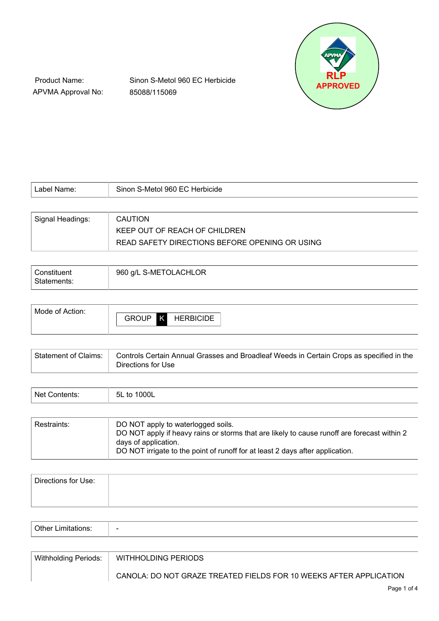

Product Name: APVMA Approval No: Sinon S-Metol 960 EC Herbicide 85088/115069

| Label Name:      | Sinon S-Metol 960 EC Herbicide                 |
|------------------|------------------------------------------------|
|                  |                                                |
| Signal Headings: | <b>CAUTION</b>                                 |
|                  | KEEP OUT OF REACH OF CHILDREN                  |
|                  | READ SAFETY DIRECTIONS BEFORE OPENING OR USING |

| Constituent<br>Statements: | 960 g/L S-METOLACHLOR |
|----------------------------|-----------------------|
|                            |                       |

| Mode of Action: |                   |                  |
|-----------------|-------------------|------------------|
|                 | <b>GROUP</b><br>K | <b>HERBICIDE</b> |
|                 |                   |                  |

| Statement of Claims: | Controls Certain Annual Grasses and Broadleaf Weeds in Certain Crops as specified in the |
|----------------------|------------------------------------------------------------------------------------------|
|                      | Directions for Use                                                                       |

| N <sub>of</sub><br>- - -<br>. <u>. .</u><br>. | <b>OOL</b><br>-5L<br>. |
|-----------------------------------------------|------------------------|
|                                               |                        |

| DO NOT apply to waterlogged soils.<br>Restraints:<br>DO NOT apply if heavy rains or storms that are likely to cause runoff are forecast within 2<br>days of application.<br>DO NOT irrigate to the point of runoff for at least 2 days after application. |  |
|-----------------------------------------------------------------------------------------------------------------------------------------------------------------------------------------------------------------------------------------------------------|--|
|-----------------------------------------------------------------------------------------------------------------------------------------------------------------------------------------------------------------------------------------------------------|--|

| Directions for Use: |  |
|---------------------|--|
|                     |  |

| $\sim$<br>$\Delta t$<br>.<br>. <i>.</i><br>ш<br>כו וטו.<br>-----<br>ັ<br>. | $\overline{\phantom{0}}$ |
|----------------------------------------------------------------------------|--------------------------|
|----------------------------------------------------------------------------|--------------------------|

| Withholding Periods: | WITHHOLDING PERIODS                                                |
|----------------------|--------------------------------------------------------------------|
|                      | CANOLA: DO NOT GRAZE TREATED FIELDS FOR 10 WEEKS AFTER APPLICATION |
|                      | $D_{200}$ 1 of $\Lambda$                                           |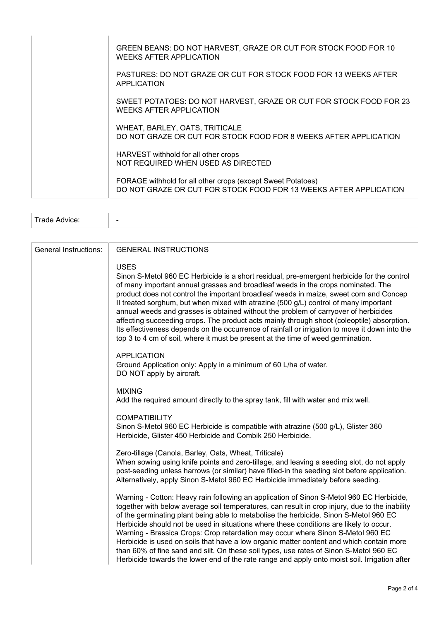| GREEN BEANS: DO NOT HARVEST, GRAZE OR CUT FOR STOCK FOOD FOR 10<br><b>WEEKS AFTER APPLICATION</b>                                |
|----------------------------------------------------------------------------------------------------------------------------------|
| PASTURES: DO NOT GRAZE OR CUT FOR STOCK FOOD FOR 13 WEEKS AFTER<br>APPLICATION                                                   |
| SWEET POTATOES: DO NOT HARVEST, GRAZE OR CUT FOR STOCK FOOD FOR 23<br>WEEKS AFTER APPLICATION                                    |
| WHEAT, BARLEY, OATS, TRITICALE<br>DO NOT GRAZE OR CUT FOR STOCK FOOD FOR 8 WEEKS AFTER APPLICATION                               |
| HARVEST withhold for all other crops<br>NOT REQUIRED WHEN USED AS DIRECTED                                                       |
| FORAGE withhold for all other crops (except Sweet Potatoes)<br>DO NOT GRAZE OR CUT FOR STOCK FOOD FOR 13 WEEKS AFTER APPLICATION |

| $\overline{\phantom{0}}$ |   |  |
|--------------------------|---|--|
|                          | . |  |

| <b>General Instructions:</b> | <b>GENERAL INSTRUCTIONS</b>                                                                                                                                                                                                                                                                                                                                                                                                                                                                                                                                                                                                                                                                                                                                |
|------------------------------|------------------------------------------------------------------------------------------------------------------------------------------------------------------------------------------------------------------------------------------------------------------------------------------------------------------------------------------------------------------------------------------------------------------------------------------------------------------------------------------------------------------------------------------------------------------------------------------------------------------------------------------------------------------------------------------------------------------------------------------------------------|
|                              | <b>USES</b><br>Sinon S-Metol 960 EC Herbicide is a short residual, pre-emergent herbicide for the control<br>of many important annual grasses and broadleaf weeds in the crops nominated. The<br>product does not control the important broadleaf weeds in maize, sweet corn and Concep<br>II treated sorghum, but when mixed with atrazine (500 g/L) control of many important<br>annual weeds and grasses is obtained without the problem of carryover of herbicides<br>affecting succeeding crops. The product acts mainly through shoot (coleoptile) absorption.<br>Its effectiveness depends on the occurrence of rainfall or irrigation to move it down into the<br>top 3 to 4 cm of soil, where it must be present at the time of weed germination. |
|                              | <b>APPLICATION</b><br>Ground Application only: Apply in a minimum of 60 L/ha of water.<br>DO NOT apply by aircraft.                                                                                                                                                                                                                                                                                                                                                                                                                                                                                                                                                                                                                                        |
|                              | <b>MIXING</b><br>Add the required amount directly to the spray tank, fill with water and mix well.                                                                                                                                                                                                                                                                                                                                                                                                                                                                                                                                                                                                                                                         |
|                              | <b>COMPATIBILITY</b><br>Sinon S-Metol 960 EC Herbicide is compatible with atrazine (500 g/L), Glister 360<br>Herbicide, Glister 450 Herbicide and Combik 250 Herbicide.                                                                                                                                                                                                                                                                                                                                                                                                                                                                                                                                                                                    |
|                              | Zero-tillage (Canola, Barley, Oats, Wheat, Triticale)<br>When sowing using knife points and zero-tillage, and leaving a seeding slot, do not apply<br>post-seeding unless harrows (or similar) have filled-in the seeding slot before application.<br>Alternatively, apply Sinon S-Metol 960 EC Herbicide immediately before seeding.                                                                                                                                                                                                                                                                                                                                                                                                                      |
|                              | Warning - Cotton: Heavy rain following an application of Sinon S-Metol 960 EC Herbicide,<br>together with below average soil temperatures, can result in crop injury, due to the inability<br>of the germinating plant being able to metabolise the herbicide. Sinon S-Metol 960 EC<br>Herbicide should not be used in situations where these conditions are likely to occur.<br>Warning - Brassica Crops: Crop retardation may occur where Sinon S-Metol 960 EC<br>Herbicide is used on soils that have a low organic matter content and which contain more<br>than 60% of fine sand and silt. On these soil types, use rates of Sinon S-Metol 960 EC<br>Herbicide towards the lower end of the rate range and apply onto moist soil. Irrigation after    |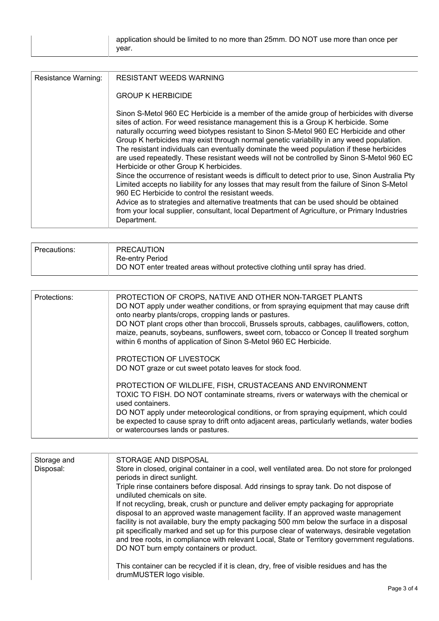| <b>Resistance Warning:</b> | <b>RESISTANT WEEDS WARNING</b>                                                                                                                                                                                                                                                                                                                                                                                                                                                                                                                                                                                                                                                                                                                                                                                                                                                                                                                                                                                                                                            |  |  |  |  |
|----------------------------|---------------------------------------------------------------------------------------------------------------------------------------------------------------------------------------------------------------------------------------------------------------------------------------------------------------------------------------------------------------------------------------------------------------------------------------------------------------------------------------------------------------------------------------------------------------------------------------------------------------------------------------------------------------------------------------------------------------------------------------------------------------------------------------------------------------------------------------------------------------------------------------------------------------------------------------------------------------------------------------------------------------------------------------------------------------------------|--|--|--|--|
|                            | <b>GROUP K HERBICIDE</b>                                                                                                                                                                                                                                                                                                                                                                                                                                                                                                                                                                                                                                                                                                                                                                                                                                                                                                                                                                                                                                                  |  |  |  |  |
|                            | Sinon S-Metol 960 EC Herbicide is a member of the amide group of herbicides with diverse<br>sites of action. For weed resistance management this is a Group K herbicide. Some<br>naturally occurring weed biotypes resistant to Sinon S-Metol 960 EC Herbicide and other<br>Group K herbicides may exist through normal genetic variability in any weed population.<br>The resistant individuals can eventually dominate the weed population if these herbicides<br>are used repeatedly. These resistant weeds will not be controlled by Sinon S-Metol 960 EC<br>Herbicide or other Group K herbicides.<br>Since the occurrence of resistant weeds is difficult to detect prior to use, Sinon Australia Pty<br>Limited accepts no liability for any losses that may result from the failure of Sinon S-Metol<br>960 EC Herbicide to control the resistant weeds.<br>Advice as to strategies and alternative treatments that can be used should be obtained<br>from your local supplier, consultant, local Department of Agriculture, or Primary Industries<br>Department. |  |  |  |  |
|                            |                                                                                                                                                                                                                                                                                                                                                                                                                                                                                                                                                                                                                                                                                                                                                                                                                                                                                                                                                                                                                                                                           |  |  |  |  |

| Precautions: | PRECAUTION<br>Re-entry Period<br>DO NOT enter treated areas without protective clothing until spray has dried. |
|--------------|----------------------------------------------------------------------------------------------------------------|
|--------------|----------------------------------------------------------------------------------------------------------------|

| Protections: | PROTECTION OF CROPS, NATIVE AND OTHER NON-TARGET PLANTS<br>DO NOT apply under weather conditions, or from spraying equipment that may cause drift<br>onto nearby plants/crops, cropping lands or pastures.<br>DO NOT plant crops other than broccoli, Brussels sprouts, cabbages, cauliflowers, cotton,<br>maize, peanuts, soybeans, sunflowers, sweet corn, tobacco or Concep II treated sorghum<br>within 6 months of application of Sinon S-Metol 960 EC Herbicide. |
|--------------|------------------------------------------------------------------------------------------------------------------------------------------------------------------------------------------------------------------------------------------------------------------------------------------------------------------------------------------------------------------------------------------------------------------------------------------------------------------------|
|              | PROTECTION OF LIVESTOCK<br>DO NOT graze or cut sweet potato leaves for stock food.                                                                                                                                                                                                                                                                                                                                                                                     |
|              | PROTECTION OF WILDLIFE, FISH, CRUSTACEANS AND ENVIRONMENT<br>TOXIC TO FISH. DO NOT contaminate streams, rivers or waterways with the chemical or<br>used containers.                                                                                                                                                                                                                                                                                                   |
|              | DO NOT apply under meteorological conditions, or from spraying equipment, which could<br>be expected to cause spray to drift onto adjacent areas, particularly wetlands, water bodies<br>or watercourses lands or pastures.                                                                                                                                                                                                                                            |

| Storage and<br>Disposal: | STORAGE AND DISPOSAL<br>Store in closed, original container in a cool, well ventilated area. Do not store for prolonged<br>periods in direct sunlight.<br>Triple rinse containers before disposal. Add rinsings to spray tank. Do not dispose of                                                                                                                                                                                                                                                                                                        |
|--------------------------|---------------------------------------------------------------------------------------------------------------------------------------------------------------------------------------------------------------------------------------------------------------------------------------------------------------------------------------------------------------------------------------------------------------------------------------------------------------------------------------------------------------------------------------------------------|
|                          | undiluted chemicals on site.<br>If not recycling, break, crush or puncture and deliver empty packaging for appropriate<br>disposal to an approved waste management facility. If an approved waste management<br>facility is not available, bury the empty packaging 500 mm below the surface in a disposal<br>pit specifically marked and set up for this purpose clear of waterways, desirable vegetation<br>and tree roots, in compliance with relevant Local, State or Territory government regulations.<br>DO NOT burn empty containers or product. |
|                          | This container can be recycled if it is clean, dry, free of visible residues and has the<br>drumMUSTER logo visible.                                                                                                                                                                                                                                                                                                                                                                                                                                    |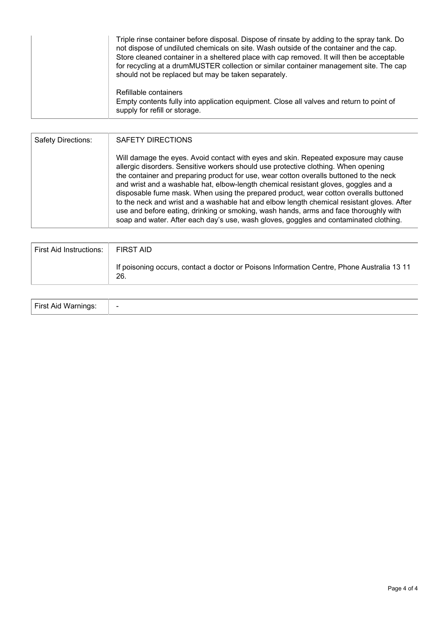| Triple rinse container before disposal. Dispose of rinsate by adding to the spray tank. Do<br>not dispose of undiluted chemicals on site. Wash outside of the container and the cap.<br>Store cleaned container in a sheltered place with cap removed. It will then be acceptable<br>for recycling at a drumMUSTER collection or similar container management site. The cap<br>should not be replaced but may be taken separately. |  |  |  |
|------------------------------------------------------------------------------------------------------------------------------------------------------------------------------------------------------------------------------------------------------------------------------------------------------------------------------------------------------------------------------------------------------------------------------------|--|--|--|
| Refillable containers<br>Empty contents fully into application equipment. Close all valves and return to point of<br>supply for refill or storage.                                                                                                                                                                                                                                                                                 |  |  |  |

| Safety Directions: | <b>SAFETY DIRECTIONS</b>                                                                                                                                                                                                                                                                                                                                                                                                                                                                                                                                                                                                                                                                                                           |
|--------------------|------------------------------------------------------------------------------------------------------------------------------------------------------------------------------------------------------------------------------------------------------------------------------------------------------------------------------------------------------------------------------------------------------------------------------------------------------------------------------------------------------------------------------------------------------------------------------------------------------------------------------------------------------------------------------------------------------------------------------------|
|                    | Will damage the eyes. Avoid contact with eyes and skin. Repeated exposure may cause<br>allergic disorders. Sensitive workers should use protective clothing. When opening<br>the container and preparing product for use, wear cotton overalls buttoned to the neck<br>and wrist and a washable hat, elbow-length chemical resistant gloves, goggles and a<br>disposable fume mask. When using the prepared product, wear cotton overalls buttoned<br>to the neck and wrist and a washable hat and elbow length chemical resistant gloves. After<br>use and before eating, drinking or smoking, wash hands, arms and face thoroughly with<br>soap and water. After each day's use, wash gloves, goggles and contaminated clothing. |

| <b>First Aid Instructions:</b> | FIRST AID                                                                                         |
|--------------------------------|---------------------------------------------------------------------------------------------------|
|                                | If poisoning occurs, contact a doctor or Poisons Information Centre, Phone Australia 13 11<br>26. |

| First Aid<br>Mor | $\overline{\phantom{0}}$ |
|------------------|--------------------------|
|------------------|--------------------------|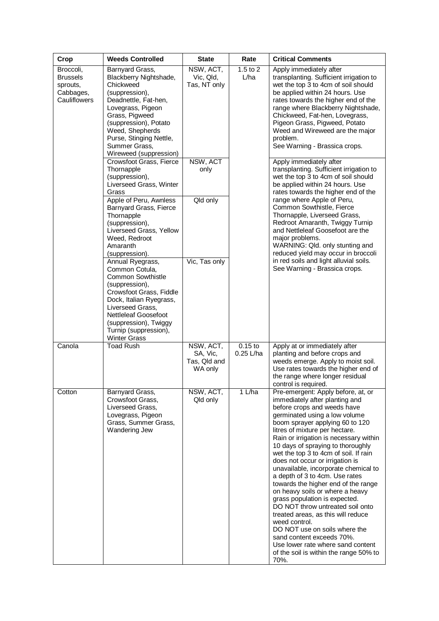| Crop                                                                  | <b>Weeds Controlled</b>                                                                                                                                                                                                                                     | <b>State</b>                                     | Rate                     | <b>Critical Comments</b>                                                                                                                                                                                                                                                                                                                                                                                                                                                                                                                                                                                                                                                                                                                                                                                  |                                                                                                                                                                                     |
|-----------------------------------------------------------------------|-------------------------------------------------------------------------------------------------------------------------------------------------------------------------------------------------------------------------------------------------------------|--------------------------------------------------|--------------------------|-----------------------------------------------------------------------------------------------------------------------------------------------------------------------------------------------------------------------------------------------------------------------------------------------------------------------------------------------------------------------------------------------------------------------------------------------------------------------------------------------------------------------------------------------------------------------------------------------------------------------------------------------------------------------------------------------------------------------------------------------------------------------------------------------------------|-------------------------------------------------------------------------------------------------------------------------------------------------------------------------------------|
| Broccoli,<br><b>Brussels</b><br>sprouts,<br>Cabbages,<br>Cauliflowers | Barnyard Grass,<br>Blackberry Nightshade,<br>Chickweed<br>(suppression),<br>Deadnettle, Fat-hen,<br>Lovegrass, Pigeon<br>Grass, Pigweed<br>(suppression), Potato<br>Weed, Shepherds<br>Purse, Stinging Nettle,<br>Summer Grass,<br>Wireweed (suppression)   | NSW, ACT,<br>Vic, Qld,<br>Tas, NT only           | $1.5$ to $2$<br>L/ha     | Apply immediately after<br>transplanting. Sufficient irrigation to<br>wet the top 3 to 4cm of soil should<br>be applied within 24 hours. Use<br>rates towards the higher end of the<br>range where Blackberry Nightshade,<br>Chickweed, Fat-hen, Lovegrass,<br>Pigeon Grass, Pigweed, Potato<br>Weed and Wireweed are the major<br>problem.<br>See Warning - Brassica crops.                                                                                                                                                                                                                                                                                                                                                                                                                              |                                                                                                                                                                                     |
|                                                                       | Crowsfoot Grass, Fierce<br>Thornapple<br>(suppression),<br>Liverseed Grass, Winter<br>Grass                                                                                                                                                                 | NSW, ACT<br>only                                 |                          |                                                                                                                                                                                                                                                                                                                                                                                                                                                                                                                                                                                                                                                                                                                                                                                                           | Apply immediately after<br>transplanting. Sufficient irrigation to<br>wet the top 3 to 4cm of soil should<br>be applied within 24 hours. Use<br>rates towards the higher end of the |
|                                                                       | Apple of Peru, Awnless<br>Barnyard Grass, Fierce<br>Thornapple<br>(suppression),<br>Liverseed Grass, Yellow<br>Weed, Redroot<br>Amaranth<br>(suppression).                                                                                                  | Qld only                                         |                          | range where Apple of Peru,<br>Common Sowthistle, Fierce<br>Thornapple, Liverseed Grass,<br>Redroot Amaranth, Twiggy Turnip<br>and Nettleleaf Goosefoot are the<br>major problems.<br>WARNING: Qld. only stunting and<br>reduced yield may occur in broccoli                                                                                                                                                                                                                                                                                                                                                                                                                                                                                                                                               |                                                                                                                                                                                     |
|                                                                       | Annual Ryegrass,<br>Common Cotula,<br><b>Common Sowthistle</b><br>(suppression),<br>Crowsfoot Grass, Fiddle<br>Dock, Italian Ryegrass,<br>Liverseed Grass,<br>Nettleleaf Goosefoot<br>(suppression), Twiggy<br>Turnip (suppression),<br><b>Winter Grass</b> | Vic, Tas only                                    |                          | in red soils and light alluvial soils.<br>See Warning - Brassica crops.                                                                                                                                                                                                                                                                                                                                                                                                                                                                                                                                                                                                                                                                                                                                   |                                                                                                                                                                                     |
| Canola                                                                | <b>Toad Rush</b>                                                                                                                                                                                                                                            | NSW, ACT,<br>SA, Vic,<br>Tas, Qld and<br>WA only | $0.15$ to<br>$0.25$ L/ha | Apply at or immediately after<br>planting and before crops and<br>weeds emerge. Apply to moist soil.<br>Use rates towards the higher end of<br>the range where longer residual<br>control is required.                                                                                                                                                                                                                                                                                                                                                                                                                                                                                                                                                                                                    |                                                                                                                                                                                     |
| Cotton                                                                | Barnyard Grass,<br>Crowsfoot Grass,<br>Liverseed Grass,<br>Lovegrass, Pigeon<br>Grass, Summer Grass,<br>Wandering Jew                                                                                                                                       | NSW, ACT,<br>Qld only                            | 1 L/ha                   | Pre-emergent: Apply before, at, or<br>immediately after planting and<br>before crops and weeds have<br>germinated using a low volume<br>boom sprayer applying 60 to 120<br>litres of mixture per hectare.<br>Rain or irrigation is necessary within<br>10 days of spraying to thoroughly<br>wet the top 3 to 4cm of soil. If rain<br>does not occur or irrigation is<br>unavailable, incorporate chemical to<br>a depth of 3 to 4cm. Use rates<br>towards the higher end of the range<br>on heavy soils or where a heavy<br>grass population is expected.<br>DO NOT throw untreated soil onto<br>treated areas, as this will reduce<br>weed control.<br>DO NOT use on soils where the<br>sand content exceeds 70%.<br>Use lower rate where sand content<br>of the soil is within the range 50% to<br>70%. |                                                                                                                                                                                     |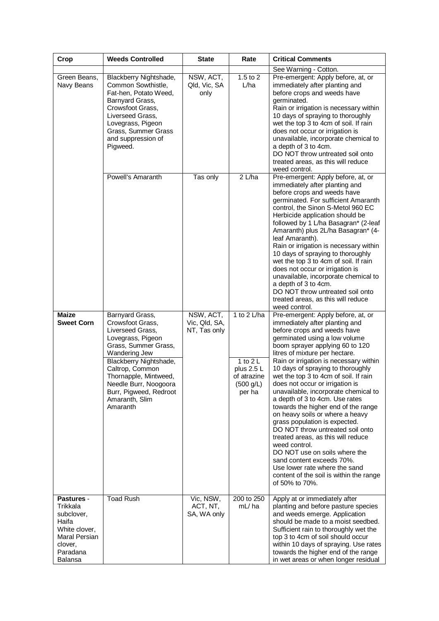| Crop                                                                                                                     | <b>Weeds Controlled</b>                                                                                                                                                                                                                                                      | <b>State</b>                               | Rate                                                                         | <b>Critical Comments</b>                                                                                                                                                                                                                                                                                                                                                                                                                                                                                                                                                                                                                                                                                                                                                                                         |
|--------------------------------------------------------------------------------------------------------------------------|------------------------------------------------------------------------------------------------------------------------------------------------------------------------------------------------------------------------------------------------------------------------------|--------------------------------------------|------------------------------------------------------------------------------|------------------------------------------------------------------------------------------------------------------------------------------------------------------------------------------------------------------------------------------------------------------------------------------------------------------------------------------------------------------------------------------------------------------------------------------------------------------------------------------------------------------------------------------------------------------------------------------------------------------------------------------------------------------------------------------------------------------------------------------------------------------------------------------------------------------|
| Green Beans,<br>Navy Beans                                                                                               | Blackberry Nightshade,<br>Common Sowthistle,<br>Fat-hen, Potato Weed,<br>Barnyard Grass,<br>Crowsfoot Grass,<br>Liverseed Grass,<br>Lovegrass, Pigeon<br>Grass, Summer Grass<br>and suppression of<br>Pigweed.                                                               | NSW, ACT,<br>Qld, Vic, SA<br>only          | $1.5$ to $2$<br>L/ha                                                         | See Warning - Cotton.<br>Pre-emergent: Apply before, at, or<br>immediately after planting and<br>before crops and weeds have<br>germinated.<br>Rain or irrigation is necessary within<br>10 days of spraying to thoroughly<br>wet the top 3 to 4cm of soil. If rain<br>does not occur or irrigation is<br>unavailable, incorporate chemical to<br>a depth of 3 to 4cm.<br>DO NOT throw untreated soil onto<br>treated areas, as this will reduce<br>weed control.                                                                                                                                                                                                                                                                                                                                                |
|                                                                                                                          | Powell's Amaranth                                                                                                                                                                                                                                                            | Tas only                                   | 2 L/ha                                                                       | Pre-emergent: Apply before, at, or<br>immediately after planting and<br>before crops and weeds have<br>germinated. For sufficient Amaranth<br>control, the Sinon S-Metol 960 EC<br>Herbicide application should be<br>followed by 1 L/ha Basagran* (2-leaf<br>Amaranth) plus 2L/ha Basagran* (4-<br>leaf Amaranth).<br>Rain or irrigation is necessary within<br>10 days of spraying to thoroughly<br>wet the top 3 to 4cm of soil. If rain<br>does not occur or irrigation is<br>unavailable, incorporate chemical to<br>a depth of 3 to 4cm.<br>DO NOT throw untreated soil onto<br>treated areas, as this will reduce<br>weed control.                                                                                                                                                                        |
| <b>Maize</b><br>Sweet Corn                                                                                               | Barnyard Grass,<br>Crowsfoot Grass,<br>Liverseed Grass,<br>Lovegrass, Pigeon<br>Grass, Summer Grass,<br>Wandering Jew<br>Blackberry Nightshade,<br>Caltrop, Common<br>Thornapple, Mintweed,<br>Needle Burr, Noogoora<br>Burr, Pigweed, Redroot<br>Amaranth, Slim<br>Amaranth | NSW, ACT,<br>Vic, Qld, SA,<br>NT, Tas only | 1 to 2 L/ha<br>1 to $2L$<br>plus 2.5 L<br>of atrazine<br>(500 g/L)<br>per ha | Pre-emergent: Apply before, at, or<br>immediately after planting and<br>before crops and weeds have<br>germinated using a low volume<br>boom sprayer applying 60 to 120<br>litres of mixture per hectare.<br>Rain or irrigation is necessary within<br>10 days of spraying to thoroughly<br>wet the top 3 to 4cm of soil. If rain<br>does not occur or irrigation is<br>unavailable, incorporate chemical to<br>a depth of 3 to 4cm. Use rates<br>towards the higher end of the range<br>on heavy soils or where a heavy<br>grass population is expected.<br>DO NOT throw untreated soil onto<br>treated areas, as this will reduce<br>weed control.<br>DO NOT use on soils where the<br>sand content exceeds 70%.<br>Use lower rate where the sand<br>content of the soil is within the range<br>of 50% to 70%. |
| Pastures -<br>Trikkala<br>subclover,<br>Haifa<br>White clover,<br>Maral Persian<br>clover,<br>Paradana<br><b>Balansa</b> | <b>Toad Rush</b>                                                                                                                                                                                                                                                             | Vic, NSW,<br>ACT, NT,<br>SA, WA only       | 200 to 250<br>mL/ha                                                          | Apply at or immediately after<br>planting and before pasture species<br>and weeds emerge. Application<br>should be made to a moist seedbed.<br>Sufficient rain to thoroughly wet the<br>top 3 to 4cm of soil should occur<br>within 10 days of spraying. Use rates<br>towards the higher end of the range<br>in wet areas or when longer residual                                                                                                                                                                                                                                                                                                                                                                                                                                                                |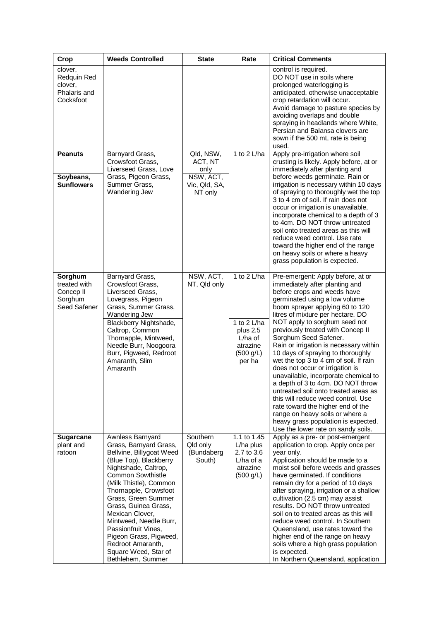| Crop                                                            | <b>Weeds Controlled</b>                                                                                                                                                                                                                                                                                                                                                                                         | <b>State</b>                                  | Rate                                                                                 | <b>Critical Comments</b>                                                                                                                                                                                                                                                                                                                                                                                                                                                                                                                                                                                                                                                                                                                                                               |
|-----------------------------------------------------------------|-----------------------------------------------------------------------------------------------------------------------------------------------------------------------------------------------------------------------------------------------------------------------------------------------------------------------------------------------------------------------------------------------------------------|-----------------------------------------------|--------------------------------------------------------------------------------------|----------------------------------------------------------------------------------------------------------------------------------------------------------------------------------------------------------------------------------------------------------------------------------------------------------------------------------------------------------------------------------------------------------------------------------------------------------------------------------------------------------------------------------------------------------------------------------------------------------------------------------------------------------------------------------------------------------------------------------------------------------------------------------------|
| clover,<br>Redquin Red<br>clover,<br>Phalaris and<br>Cocksfoot  |                                                                                                                                                                                                                                                                                                                                                                                                                 |                                               |                                                                                      | control is required.<br>DO NOT use in soils where<br>prolonged waterlogging is<br>anticipated, otherwise unacceptable<br>crop retardation will occur.<br>Avoid damage to pasture species by<br>avoiding overlaps and double<br>spraying in headlands where White,<br>Persian and Balansa clovers are<br>sown if the 500 mL rate is being<br>used.                                                                                                                                                                                                                                                                                                                                                                                                                                      |
| <b>Peanuts</b>                                                  | Barnyard Grass,<br>Crowsfoot Grass.                                                                                                                                                                                                                                                                                                                                                                             | Qld, NSW,<br>ACT, NT                          | 1 to $2$ L/ha                                                                        | Apply pre-irrigation where soil<br>crusting is likely. Apply before, at or                                                                                                                                                                                                                                                                                                                                                                                                                                                                                                                                                                                                                                                                                                             |
| Soybeans,<br><b>Sunflowers</b>                                  | Liverseed Grass, Love<br>Grass, Pigeon Grass,<br>Summer Grass,<br>Wandering Jew                                                                                                                                                                                                                                                                                                                                 | only<br>NSW, ACT,<br>Vic, Qld, SA,<br>NT only |                                                                                      | immediately after planting and<br>before weeds germinate. Rain or<br>irrigation is necessary within 10 days<br>of spraying to thoroughly wet the top<br>3 to 4 cm of soil. If rain does not<br>occur or irrigation is unavailable,<br>incorporate chemical to a depth of 3<br>to 4cm. DO NOT throw untreated<br>soil onto treated areas as this will<br>reduce weed control. Use rate<br>toward the higher end of the range<br>on heavy soils or where a heavy<br>grass population is expected.                                                                                                                                                                                                                                                                                        |
| Sorghum<br>treated with<br>Concep II<br>Sorghum<br>Seed Safener | Barnyard Grass,<br>Crowsfoot Grass,<br>Liverseed Grass,<br>Lovegrass, Pigeon<br>Grass, Summer Grass,<br>Wandering Jew<br>Blackberry Nightshade,<br>Caltrop, Common<br>Thornapple, Mintweed,<br>Needle Burr, Noogoora<br>Burr, Pigweed, Redroot<br>Amaranth, Slim<br>Amaranth                                                                                                                                    | NSW, ACT,<br>NT, Qld only                     | 1 to 2 L/ha<br>1 to 2 L/ha<br>plus 2.5<br>L/ha of<br>atrazine<br>(500 g/L)<br>per ha | Pre-emergent: Apply before, at or<br>immediately after planting and<br>before crops and weeds have<br>germinated using a low volume<br>boom sprayer applying 60 to 120<br>litres of mixture per hectare. DO<br>NOT apply to sorghum seed not<br>previously treated with Concep II<br>Sorghum Seed Safener.<br>Rain or irrigation is necessary within<br>10 days of spraying to thoroughly<br>wet the top 3 to 4 cm of soil. If rain<br>does not occur or irrigation is<br>unavailable, incorporate chemical to<br>a depth of 3 to 4cm. DO NOT throw<br>untreated soil onto treated areas as<br>this will reduce weed control. Use<br>rate toward the higher end of the<br>range on heavy soils or where a<br>heavy grass population is expected.<br>Use the lower rate on sandy soils. |
| <b>Sugarcane</b><br>plant and<br>ratoon                         | Awnless Barnyard<br>Grass, Barnyard Grass,<br>Bellvine, Billygoat Weed<br>(Blue Top), Blackberry<br>Nightshade, Caltrop,<br>Common Sowthistle<br>(Milk Thistle), Common<br>Thornapple, Crowsfoot<br>Grass, Green Summer<br>Grass, Guinea Grass,<br>Mexican Clover,<br>Mintweed, Needle Burr,<br>Passionfruit Vines,<br>Pigeon Grass, Pigweed,<br>Redroot Amaranth,<br>Square Weed, Star of<br>Bethlehem, Summer | Southern<br>Qld only<br>(Bundaberg<br>South)  | 1.1 to 1.45<br>L/ha plus<br>2.7 to 3.6<br>$L/ha$ of a<br>atrazine<br>(500 g/L)       | Apply as a pre- or post-emergent<br>application to crop. Apply once per<br>year only.<br>Application should be made to a<br>moist soil before weeds and grasses<br>have germinated. If conditions<br>remain dry for a period of 10 days<br>after spraying, irrigation or a shallow<br>cultivation (2.5 cm) may assist<br>results. DO NOT throw untreated<br>soil on to treated areas as this will<br>reduce weed control. In Southern<br>Queensland, use rates toward the<br>higher end of the range on heavy<br>soils where a high grass population<br>is expected.<br>In Northern Queensland, application                                                                                                                                                                            |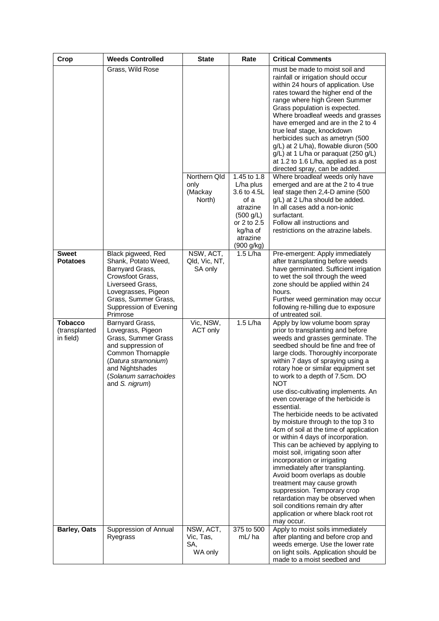| Crop                                         | <b>Weeds Controlled</b>                                                                                                                                                                     | <b>State</b>                              | Rate                                                                                                                          | <b>Critical Comments</b>                                                                                                                                                                                                                                                                                                                                                                                                                                                                                                                                                                                                                                                                                                                                                                                                                                                                                                                     |
|----------------------------------------------|---------------------------------------------------------------------------------------------------------------------------------------------------------------------------------------------|-------------------------------------------|-------------------------------------------------------------------------------------------------------------------------------|----------------------------------------------------------------------------------------------------------------------------------------------------------------------------------------------------------------------------------------------------------------------------------------------------------------------------------------------------------------------------------------------------------------------------------------------------------------------------------------------------------------------------------------------------------------------------------------------------------------------------------------------------------------------------------------------------------------------------------------------------------------------------------------------------------------------------------------------------------------------------------------------------------------------------------------------|
|                                              | Grass, Wild Rose                                                                                                                                                                            |                                           |                                                                                                                               | must be made to moist soil and<br>rainfall or irrigation should occur<br>within 24 hours of application. Use<br>rates toward the higher end of the<br>range where high Green Summer<br>Grass population is expected.<br>Where broadleaf weeds and grasses<br>have emerged and are in the 2 to 4<br>true leaf stage, knockdown<br>herbicides such as ametryn (500<br>g/L) at 2 L/ha), flowable diuron (500<br>g/L) at 1 L/ha or paraquat (250 g/L)<br>at 1.2 to 1.6 L/ha, applied as a post<br>directed spray, can be added.                                                                                                                                                                                                                                                                                                                                                                                                                  |
|                                              |                                                                                                                                                                                             | Northern Qld<br>only<br>(Mackay<br>North) | 1.45 to 1.8<br>L/ha plus<br>3.6 to 4.5L<br>of a<br>atrazine<br>(500 g/L)<br>or 2 to 2.5<br>kg/ha of<br>atrazine<br>(900 g/kg) | Where broadleaf weeds only have<br>emerged and are at the 2 to 4 true<br>leaf stage then 2,4-D amine (500<br>g/L) at 2 L/ha should be added.<br>In all cases add a non-ionic<br>surfactant.<br>Follow all instructions and<br>restrictions on the atrazine labels.                                                                                                                                                                                                                                                                                                                                                                                                                                                                                                                                                                                                                                                                           |
| <b>Sweet</b><br><b>Potatoes</b>              | Black pigweed, Red<br>Shank, Potato Weed,<br>Barnyard Grass,<br>Crowsfoot Grass,<br>Liverseed Grass,<br>Lovegrasses, Pigeon<br>Grass, Summer Grass,<br>Suppression of Evening<br>Primrose   | NSW, ACT,<br>Qld, Vic, NT,<br>SA only     | 1.5 L/ha                                                                                                                      | Pre-emergent: Apply immediately<br>after transplanting before weeds<br>have germinated. Sufficient irrigation<br>to wet the soil through the weed<br>zone should be applied within 24<br>hours.<br>Further weed germination may occur<br>following re-hilling due to exposure<br>of untreated soil.                                                                                                                                                                                                                                                                                                                                                                                                                                                                                                                                                                                                                                          |
| <b>Tobacco</b><br>(transplanted<br>in field) | Barnyard Grass,<br>Lovegrass, Pigeon<br>Grass, Summer Grass<br>and suppression of<br>Common Thornapple<br>(Datura stramonium)<br>and Nightshades<br>(Solanum sarrachoides<br>and S. nigrum) | Vic, NSW,<br>ACT only                     | $1.5$ L/ha                                                                                                                    | Apply by low volume boom spray<br>prior to transplanting and before<br>weeds and grasses germinate. The<br>seedbed should be fine and free of<br>large clods. Thoroughly incorporate<br>within 7 days of spraying using a<br>rotary hoe or similar equipment set<br>to work to a depth of 7.5cm. DO<br>NOT<br>use disc-cultivating implements. An<br>even coverage of the herbicide is<br>essential.<br>The herbicide needs to be activated<br>by moisture through to the top 3 to<br>4cm of soil at the time of application<br>or within 4 days of incorporation.<br>This can be achieved by applying to<br>moist soil, irrigating soon after<br>incorporation or irrigating<br>immediately after transplanting.<br>Avoid boom overlaps as double<br>treatment may cause growth<br>suppression. Temporary crop<br>retardation may be observed when<br>soil conditions remain dry after<br>application or where black root rot<br>may occur. |
| <b>Barley, Oats</b>                          | Suppression of Annual<br>Ryegrass                                                                                                                                                           | NSW, ACT,<br>Vic, Tas,<br>SA,<br>WA only  | 375 to 500<br>mL/ha                                                                                                           | Apply to moist soils immediately<br>after planting and before crop and<br>weeds emerge. Use the lower rate<br>on light soils. Application should be<br>made to a moist seedbed and                                                                                                                                                                                                                                                                                                                                                                                                                                                                                                                                                                                                                                                                                                                                                           |